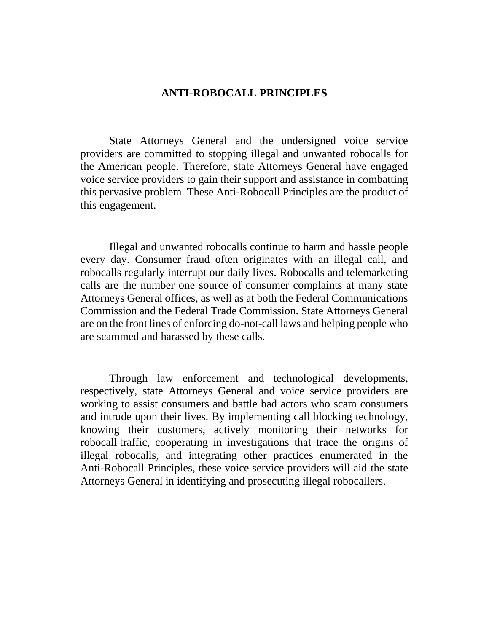### **ANTI-ROBOCALL PRINCIPLES**

State Attorneys General and the undersigned voice service providers are committed to stopping illegal and unwanted robocalls for the American people. Therefore, state Attorneys General have engaged voice service providers to gain their support and assistance in combatting this pervasive problem. These Anti-Robocall Principles are the product of this engagement.

Illegal and unwanted robocalls continue to harm and hassle people every day. Consumer fraud often originates with an illegal call, and robocalls regularly interrupt our daily lives. Robocalls and telemarketing calls are the number one source of consumer complaints at many state Attorneys General offices, as well as at both the Federal Communications Commission and the Federal Trade Commission. State Attorneys General are on the front lines of enforcing do-not-call laws and helping people who are scammed and harassed by these calls.

Through law enforcement and technological developments, respectively, state Attorneys General and voice service providers are working to assist consumers and battle bad actors who scam consumers and intrude upon their lives. By implementing call blocking technology, knowing their customers, actively monitoring their networks for robocall traffic, cooperating in investigations that trace the origins of illegal robocalls, and integrating other practices enumerated in the Anti-Robocall Principles, these voice service providers will aid the state Attorneys General in identifying and prosecuting illegal robocallers.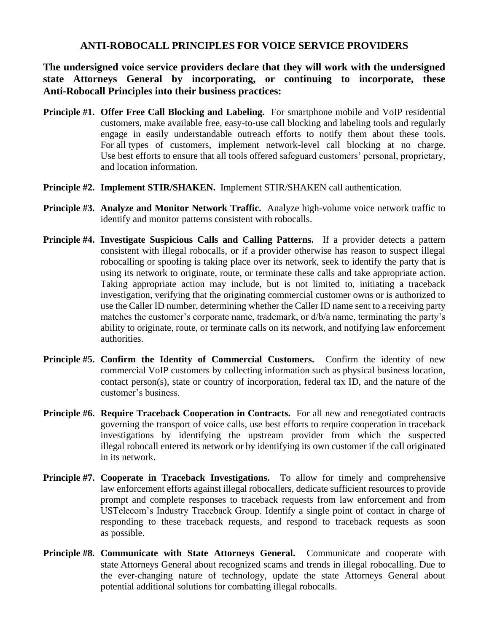#### **ANTI-ROBOCALL PRINCIPLES FOR VOICE SERVICE PROVIDERS**

**The undersigned voice service providers declare that they will work with the undersigned state Attorneys General by incorporating, or continuing to incorporate, these Anti-Robocall Principles into their business practices:**

- **Principle #1. Offer Free Call Blocking and Labeling.** For smartphone mobile and VoIP residential customers, make available free, easy-to-use call blocking and labeling tools and regularly engage in easily understandable outreach efforts to notify them about these tools. For all types of customers, implement network-level call blocking at no charge. Use best efforts to ensure that all tools offered safeguard customers' personal, proprietary, and location information.
- **Principle #2. Implement STIR/SHAKEN.** Implement STIR/SHAKEN call authentication.
- **Principle #3. Analyze and Monitor Network Traffic.** Analyze high-volume voice network traffic to identify and monitor patterns consistent with robocalls.
- **Principle #4. Investigate Suspicious Calls and Calling Patterns.** If a provider detects a pattern consistent with illegal robocalls, or if a provider otherwise has reason to suspect illegal robocalling or spoofing is taking place over its network, seek to identify the party that is using its network to originate, route, or terminate these calls and take appropriate action. Taking appropriate action may include, but is not limited to, initiating a traceback investigation, verifying that the originating commercial customer owns or is authorized to use the Caller ID number, determining whether the Caller ID name sent to a receiving party matches the customer's corporate name, trademark, or d/b/a name, terminating the party's ability to originate, route, or terminate calls on its network, and notifying law enforcement authorities.
- **Principle #5. Confirm the Identity of Commercial Customers.** Confirm the identity of new commercial VoIP customers by collecting information such as physical business location, contact person(s), state or country of incorporation, federal tax ID, and the nature of the customer's business.
- **Principle #6. Require Traceback Cooperation in Contracts.** For all new and renegotiated contracts governing the transport of voice calls, use best efforts to require cooperation in traceback investigations by identifying the upstream provider from which the suspected illegal robocall entered its network or by identifying its own customer if the call originated in its network.
- **Principle #7. Cooperate in Traceback Investigations.** To allow for timely and comprehensive law enforcement efforts against illegal robocallers, dedicate sufficient resources to provide prompt and complete responses to traceback requests from law enforcement and from USTelecom's Industry Traceback Group. Identify a single point of contact in charge of responding to these traceback requests, and respond to traceback requests as soon as possible.
- **Principle #8. Communicate with State Attorneys General.** Communicate and cooperate with state Attorneys General about recognized scams and trends in illegal robocalling. Due to the ever-changing nature of technology, update the state Attorneys General about potential additional solutions for combatting illegal robocalls.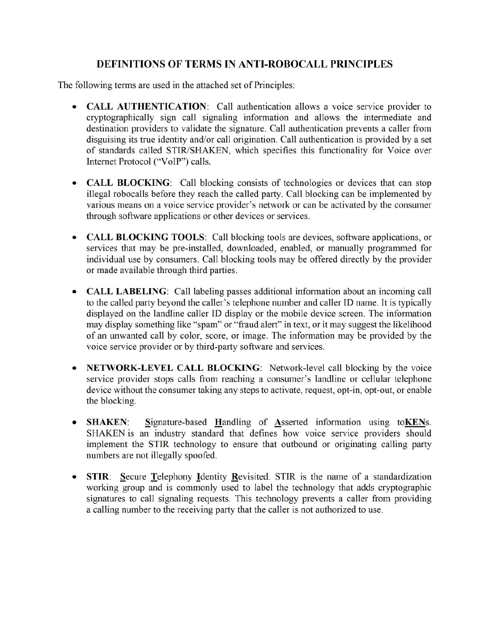# **DEFINITIONS OF TERMS IN ANTI-ROBOCALL PRINCIPLES**

The following terms are used in the attached set of Principles:

- CALL AUTHENTICATION: Call authentication allows a voice service provider to cryptographically sign call signaling information and allows the intermediate and destination providers to validate the signature. Call authentication prevents a caller from disguising its true identity and/or call origination. Call authentication is provided by a set of standards called STIR/SHAKEN, which specifies this functionality for Voice over Internet Protocol ("VoIP") calls.
- CALL BLOCKING: Call blocking consists of technologies or devices that can stop  $\bullet$ illegal robocalls before they reach the called party. Call blocking can be implemented by various means on a voice service provider's network or can be activated by the consumer through software applications or other devices or services.
- CALL BLOCKING TOOLS: Call blocking tools are devices, software applications, or services that may be pre-installed, downloaded, enabled, or manually programmed for individual use by consumers. Call blocking tools may be offered directly by the provider or made available through third parties.
- **CALL LABELING**: Call labeling passes additional information about an incoming call to the called party beyond the caller's telephone number and caller ID name. It is typically displayed on the landline caller ID display or the mobile device screen. The information may display something like "spam" or "fraud alert" in text, or it may suggest the likelihood of an unwanted call by color, score, or image. The information may be provided by the voice service provider or by third-party software and services.
- NETWORK-LEVEL CALL BLOCKING: Network-level call blocking by the voice service provider stops calls from reaching a consumer's landline or cellular telephone device without the consumer taking any steps to activate, request, opt-in, opt-out, or enable the blocking.
- Signature-based Handling of Asserted information using toKENs.  $\bullet$ **SHAKEN:** SHAKEN is an industry standard that defines how voice service providers should implement the STIR technology to ensure that outbound or originating calling party numbers are not illegally spoofed.
- STIR: Secure Telephony Identity Revisited. STIR is the name of a standardization working group and is commonly used to label the technology that adds cryptographic signatures to call signaling requests. This technology prevents a caller from providing a calling number to the receiving party that the caller is not authorized to use.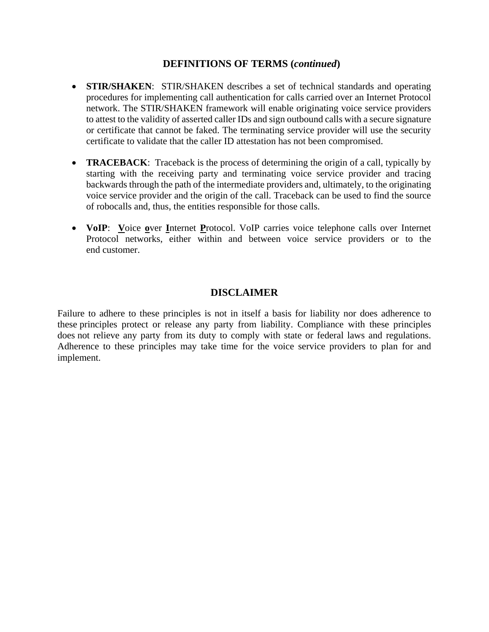#### **DEFINITIONS OF TERMS (***continued***)**

- **STIR/SHAKEN**: STIR/SHAKEN describes a set of technical standards and operating procedures for implementing call authentication for calls carried over an Internet Protocol network. The STIR/SHAKEN framework will enable originating voice service providers to attest to the validity of asserted caller IDs and sign outbound calls with a secure signature or certificate that cannot be faked. The terminating service provider will use the security certificate to validate that the caller ID attestation has not been compromised.
- **TRACEBACK**: Traceback is the process of determining the origin of a call, typically by starting with the receiving party and terminating voice service provider and tracing backwards through the path of the intermediate providers and, ultimately, to the originating voice service provider and the origin of the call. Traceback can be used to find the source of robocalls and, thus, the entities responsible for those calls.
- **VoIP**: **V**oice **o**ver **I**nternet **P**rotocol. VoIP carries voice telephone calls over Internet Protocol networks, either within and between voice service providers or to the end customer.

# **DISCLAIMER**

Failure to adhere to these principles is not in itself a basis for liability nor does adherence to these principles protect or release any party from liability. Compliance with these principles does not relieve any party from its duty to comply with state or federal laws and regulations. Adherence to these principles may take time for the voice service providers to plan for and implement.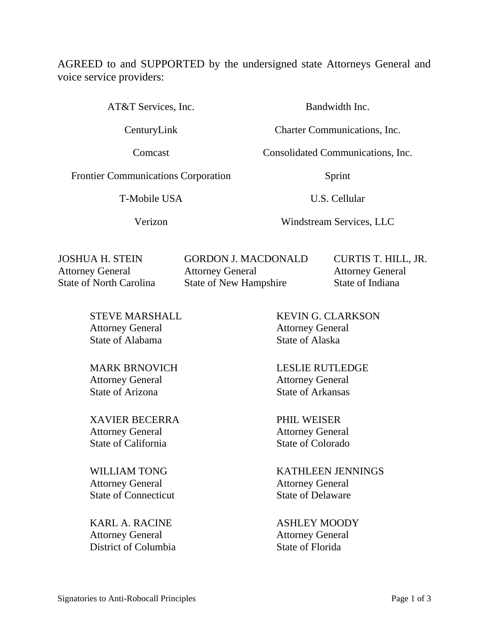AGREED to and SUPPORTED by the undersigned state Attorneys General and voice service providers:

AT&T Services, Inc. Bandwidth Inc.

Frontier Communications Corporation Sprint

T-Mobile USA U.S. Cellular

CenturyLink Charter Communications, Inc.

Comcast Consolidated Communications, Inc.

Verizon Windstream Services, LLC

JOSHUA H. STEIN Attorney General State of North Carolina GORDON J. MACDONALD Attorney General State of New Hampshire

CURTIS T. HILL, JR. Attorney General State of Indiana

STEVE MARSHALL Attorney General State of Alabama

MARK BRNOVICH Attorney General State of Arizona

XAVIER BECERRA Attorney General State of California

WILLIAM TONG Attorney General State of Connecticut

KARL A. RACINE Attorney General District of Columbia

KEVIN G. CLARKSON Attorney General State of Alaska

LESLIE RUTLEDGE Attorney General State of Arkansas

PHIL WEISER Attorney General State of Colorado

KATHLEEN JENNINGS Attorney General State of Delaware

ASHLEY MOODY Attorney General State of Florida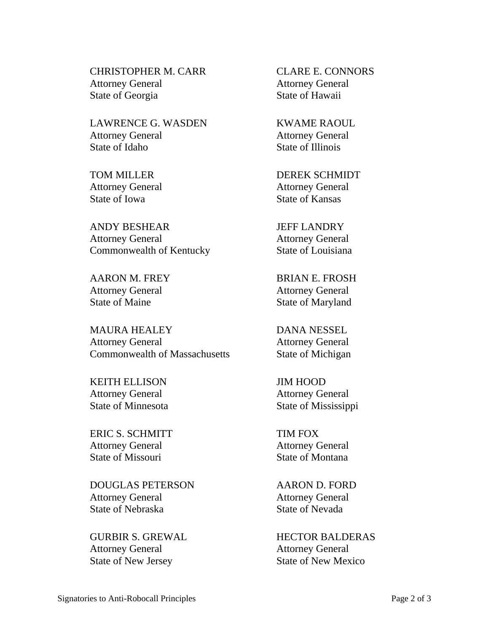CHRISTOPHER M. CARR Attorney General State of Georgia

LAWRENCE G. WASDEN Attorney General State of Idaho

TOM MILLER Attorney General State of Iowa

ANDY BESHEAR Attorney General Commonwealth of Kentucky

AARON M. FREY Attorney General State of Maine

MAURA HEALEY Attorney General Commonwealth of Massachusetts

KEITH ELLISON Attorney General State of Minnesota

ERIC S. SCHMITT Attorney General State of Missouri

DOUGLAS PETERSON Attorney General State of Nebraska

GURBIR S. GREWAL Attorney General State of New Jersey

CLARE E. CONNORS Attorney General State of Hawaii

KWAME RAOUL Attorney General State of Illinois

DEREK SCHMIDT Attorney General State of Kansas

JEFF LANDRY Attorney General State of Louisiana

BRIAN E. FROSH Attorney General State of Maryland

DANA NESSEL Attorney General State of Michigan

JIM HOOD Attorney General State of Mississippi

TIM FOX Attorney General State of Montana

AARON D. FORD Attorney General State of Nevada

HECTOR BALDERAS Attorney General State of New Mexico